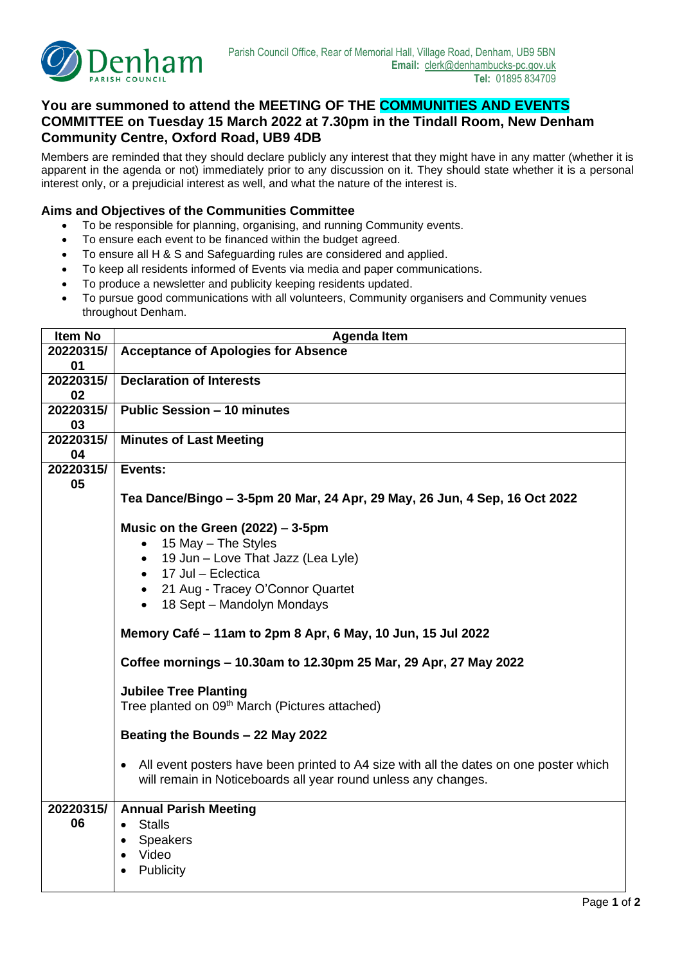

## **You are summoned to attend the MEETING OF THE COMMUNITIES AND EVENTS COMMITTEE on Tuesday 15 March 2022 at 7.30pm in the Tindall Room, New Denham Community Centre, Oxford Road, UB9 4DB**

Members are reminded that they should declare publicly any interest that they might have in any matter (whether it is apparent in the agenda or not) immediately prior to any discussion on it. They should state whether it is a personal interest only, or a prejudicial interest as well, and what the nature of the interest is.

## **Aims and Objectives of the Communities Committee**

- To be responsible for planning, organising, and running Community events.
- To ensure each event to be financed within the budget agreed.
- To ensure all H & S and Safeguarding rules are considered and applied.
- To keep all residents informed of Events via media and paper communications.
- To produce a newsletter and publicity keeping residents updated.
- To pursue good communications with all volunteers, Community organisers and Community venues throughout Denham.

| <b>Item No</b> | <b>Agenda Item</b>                                                                                                                                                   |  |  |  |  |
|----------------|----------------------------------------------------------------------------------------------------------------------------------------------------------------------|--|--|--|--|
| 20220315/      | <b>Acceptance of Apologies for Absence</b>                                                                                                                           |  |  |  |  |
| 01             |                                                                                                                                                                      |  |  |  |  |
| 20220315/      | <b>Declaration of Interests</b>                                                                                                                                      |  |  |  |  |
| 02             |                                                                                                                                                                      |  |  |  |  |
| 20220315/      | <b>Public Session - 10 minutes</b>                                                                                                                                   |  |  |  |  |
| 03             |                                                                                                                                                                      |  |  |  |  |
| 20220315/      | <b>Minutes of Last Meeting</b>                                                                                                                                       |  |  |  |  |
| 04             |                                                                                                                                                                      |  |  |  |  |
| 20220315/      | Events:                                                                                                                                                              |  |  |  |  |
| 05             |                                                                                                                                                                      |  |  |  |  |
|                | Tea Dance/Bingo – 3-5pm 20 Mar, 24 Apr, 29 May, 26 Jun, 4 Sep, 16 Oct 2022                                                                                           |  |  |  |  |
|                |                                                                                                                                                                      |  |  |  |  |
|                | Music on the Green $(2022) - 3-5$ pm                                                                                                                                 |  |  |  |  |
|                | 15 May - The Styles<br>$\bullet$                                                                                                                                     |  |  |  |  |
|                | 19 Jun - Love That Jazz (Lea Lyle)<br>$\bullet$                                                                                                                      |  |  |  |  |
|                | • 17 Jul - Eclectica                                                                                                                                                 |  |  |  |  |
|                | • 21 Aug - Tracey O'Connor Quartet                                                                                                                                   |  |  |  |  |
|                | • 18 Sept - Mandolyn Mondays                                                                                                                                         |  |  |  |  |
|                |                                                                                                                                                                      |  |  |  |  |
|                | Memory Café - 11am to 2pm 8 Apr, 6 May, 10 Jun, 15 Jul 2022                                                                                                          |  |  |  |  |
|                | Coffee mornings - 10.30am to 12.30pm 25 Mar, 29 Apr, 27 May 2022                                                                                                     |  |  |  |  |
|                |                                                                                                                                                                      |  |  |  |  |
|                | <b>Jubilee Tree Planting</b><br>Tree planted on 09 <sup>th</sup> March (Pictures attached)                                                                           |  |  |  |  |
|                |                                                                                                                                                                      |  |  |  |  |
|                | Beating the Bounds - 22 May 2022                                                                                                                                     |  |  |  |  |
|                |                                                                                                                                                                      |  |  |  |  |
|                | All event posters have been printed to A4 size with all the dates on one poster which<br>$\bullet$<br>will remain in Noticeboards all year round unless any changes. |  |  |  |  |
| 20220315/      |                                                                                                                                                                      |  |  |  |  |
| 06             | <b>Annual Parish Meeting</b><br><b>Stalls</b><br>$\bullet$                                                                                                           |  |  |  |  |
|                |                                                                                                                                                                      |  |  |  |  |
|                | <b>Speakers</b><br>$\bullet$                                                                                                                                         |  |  |  |  |
|                | Video<br>$\bullet$                                                                                                                                                   |  |  |  |  |
|                | Publicity                                                                                                                                                            |  |  |  |  |
|                |                                                                                                                                                                      |  |  |  |  |